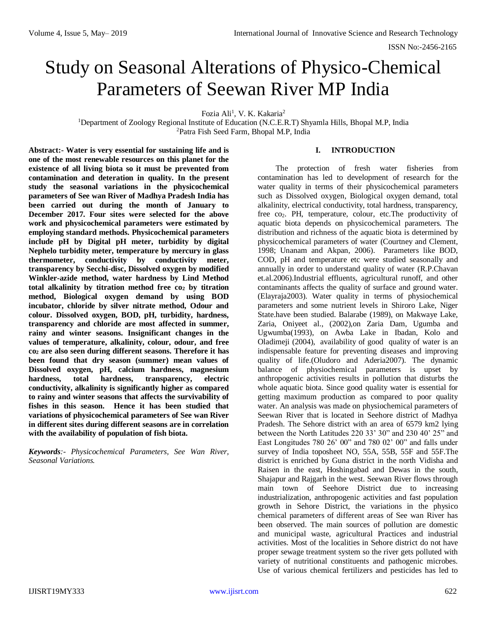# Study on Seasonal Alterations of Physico-Chemical Parameters of Seewan River MP India

Fozia Ali<sup>1</sup>, V. K. Kakaria<sup>2</sup>

<sup>1</sup>Department of Zoology Regional Institute of Education (N.C.E.R.T) Shyamla Hills, Bhopal M.P, India <sup>2</sup>Patra Fish Seed Farm, Bhopal M.P, India

**Abstract:- Water is very essential for sustaining life and is one of the most renewable resources on this planet for the existence of all living biota so it must be prevented from contamination and deteration in quality. In the present study the seasonal variations in the physicochemical parameters of See wan River of Madhya Pradesh India has been carried out during the month of January to December 2017. Four sites were selected for the above work and physicochemical parameters were estimated by employing standard methods. Physicochemical parameters include pH by Digital pH meter, turbidity by digital Nephelo turbidity meter, temperature by mercury in glass thermometer, conductivity by conductivity meter, transparency by Secchi-disc, Dissolved oxygen by modified Winkler-azide method, water hardness by Lind Method total alkalinity by titration method free co<sup>2</sup> by titration method, Biological oxygen demand by using BOD incubator, chloride by silver nitrate method, Odour and colour. Dissolved oxygen, BOD, pH, turbidity, hardness, transparency and chloride are most affected in summer, rainy and winter seasons. Insignificant changes in the values of temperature, alkalinity, colour, odour, and free co<sup>2</sup> are also seen during different seasons. Therefore it has been found that dry season (summer) mean values of Dissolved oxygen, pH, calcium hardness, magnesium hardness, total hardness, transparency, electric conductivity, alkalinity is significantly higher as compared to rainy and winter seasons that affects the survivability of fishes in this season. Hence it has been studied that variations of physicochemical parameters of See wan River in different sites during different seasons are in correlation with the availability of population of fish biota.** 

*Keywords:- Physicochemical Parameters, See Wan River, Seasonal Variations.* 

## **I. INTRODUCTION**

The protection of fresh water fisheries from contamination has led to development of research for the water quality in terms of their physicochemical parameters such as Dissolved oxygen, Biological oxygen demand, total alkalinity, electrical conductivity, total hardness, transparency, free co2. PH, temperature, colour, etc.The productivity of aquatic biota depends on physicochemical parameters. The distribution and richness of the aquatic biota is determined by physicochemical parameters of water (Courtney and Clement, 1998; Unanam and Akpan, 2006). Parameters like BOD, COD, pH and temperature etc were studied seasonally and annually in order to understand quality of water (R.P.Chavan et.al.2006).Industrial effluents, agricultural runoff, and other contaminants affects the quality of surface and ground water. (Elayraja2003). Water quality in terms of physiochemical parameters and some nutrient levels in Shiroro Lake, Niger State.have been studied. Balarabe (1989), on Makwaye Lake, Zaria, Oniyeet al., (2002),on Zaria Dam, Ugumba and Ugwumba(1993), on Awba Lake in Ibadan, Kolo and Oladimeji (2004), availability of good quality of water is an indispensable feature for preventing diseases and improving quality of life.(Oludoro and Aderia2007). The dynamic balance of physiochemical parameters is upset by anthropogenic activities results in pollution that disturbs the whole aquatic biota. Since good quality water is essential for getting maximum production as compared to poor quality water. An analysis was made on physiochemical parameters of Seewan River that is located in Seehore district of Madhya Pradesh. The Sehore district with an area of 6579 km2 lying between the North Latitudes 220 33' 30" and 230 40' 25" and East Longitudes 780 26' 00" and 780 02' 00" and falls under survey of India toposheet NO, 55A, 55B, 55F and 55F.The district is enriched by Guna district in the north Vidisha and Raisen in the east, Hoshingabad and Dewas in the south, Shajapur and Rajgarh in the west. Seewan River flows through main town of Seehore District due to increasing industrialization, anthropogenic activities and fast population growth in Sehore District, the variations in the physico chemical parameters of different areas of See wan River has been observed. The main sources of pollution are domestic and municipal waste, agricultural Practices and industrial activities. Most of the localities in Sehore district do not have proper sewage treatment system so the river gets polluted with variety of nutritional constituents and pathogenic microbes. Use of various chemical fertilizers and pesticides has led to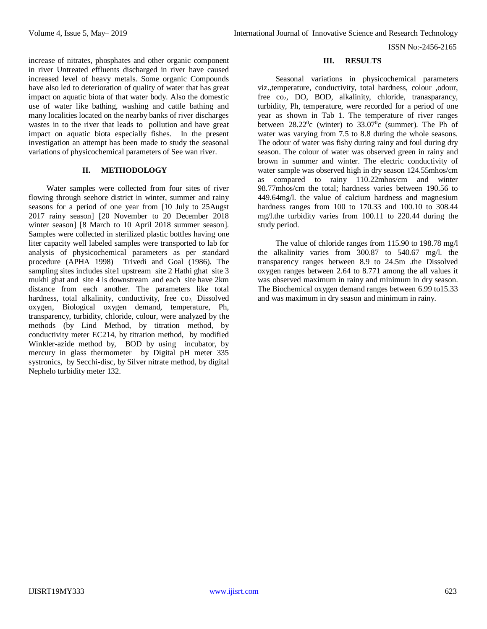ISSN No:-2456-2165

increase of nitrates, phosphates and other organic component in river Untreated effluents discharged in river have caused increased level of heavy metals. Some organic Compounds have also led to deterioration of quality of water that has great impact on aquatic biota of that water body. Also the domestic use of water like bathing, washing and cattle bathing and many localities located on the nearby banks of river discharges wastes in to the river that leads to pollution and have great impact on aquatic biota especially fishes. In the present investigation an attempt has been made to study the seasonal variations of physicochemical parameters of See wan river.

### **II. METHODOLOGY**

Water samples were collected from four sites of river flowing through seehore district in winter, summer and rainy seasons for a period of one year from [10 July to 25Augst 2017 rainy season] [20 November to 20 December 2018 winter season] [8 March to 10 April 2018 summer season]. Samples were collected in sterilized plastic bottles having one liter capacity well labeled samples were transported to lab for analysis of physicochemical parameters as per standard procedure (APHA 1998) Trivedi and Goal (1986). The sampling sites includes site1 upstream site 2 Hathi ghat site 3 mukhi ghat and site 4 is downstream and each site have 2km distance from each another. The parameters like total hardness, total alkalinity, conductivity, free co<sub>2</sub>, Dissolved oxygen, Biological oxygen demand, temperature, Ph, transparency, turbidity, chloride, colour, were analyzed by the methods (by Lind Method, by titration method, by conductivity meter EC214, by titration method, by modified Winkler-azide method by, BOD by using incubator, by mercury in glass thermometer by Digital pH meter 335 systronics, by Secchi-disc, by Silver nitrate method, by digital Nephelo turbidity meter 132.

### **III. RESULTS**

Seasonal variations in physicochemical parameters viz.,temperature, conductivity, total hardness, colour ,odour, free co<sub>2</sub>, DO, BOD, alkalinity, chloride, tranasparancy, turbidity, Ph, temperature, were recorded for a period of one year as shown in Tab 1. The temperature of river ranges between  $28.22^{\circ}$ c (winter) to  $33.07^{\circ}$ c (summer). The Ph of water was varying from 7.5 to 8.8 during the whole seasons. The odour of water was fishy during rainy and foul during dry season. The colour of water was observed green in rainy and brown in summer and winter. The electric conductivity of water sample was observed high in dry season 124.55mhos/cm as compared to rainy 110.22mhos/cm and winter 98.77mhos/cm the total; hardness varies between 190.56 to 449.64mg/l. the value of calcium hardness and magnesium hardness ranges from 100 to 170.33 and 100.10 to 308.44 mg/l.the turbidity varies from 100.11 to 220.44 during the study period.

The value of chloride ranges from 115.90 to 198.78 mg/l the alkalinity varies from 300.87 to 540.67 mg/l. the transparency ranges between 8.9 to 24.5m .the Dissolved oxygen ranges between 2.64 to 8.771 among the all values it was observed maximum in rainy and minimum in dry season. The Biochemical oxygen demand ranges between 6.99 to15.33 and was maximum in dry season and minimum in rainy.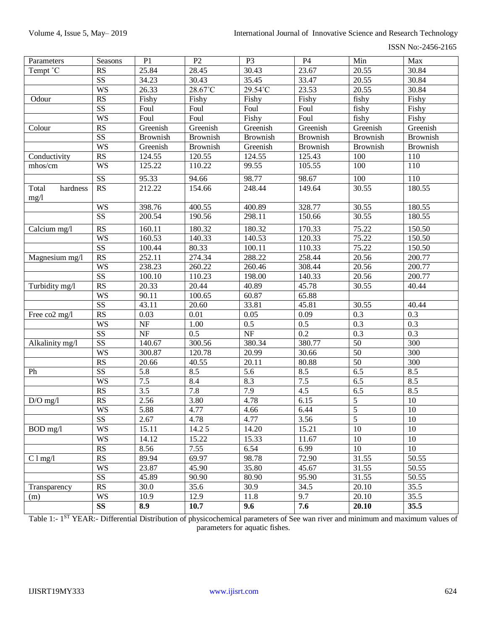ISSN No:-2456-2165

| Parameters                | Seasons                | P <sub>1</sub>   | P2              | P <sub>3</sub>         | P4              | Min             | Max             |
|---------------------------|------------------------|------------------|-----------------|------------------------|-----------------|-----------------|-----------------|
| Tempt °C                  | <b>RS</b>              | 25.84            | 28.45           | 30.43                  | 23.67           | 20.55           | 30.84           |
|                           | $\overline{\text{SS}}$ | 34.23            | 30.43           | 35.45                  | 33.47           | 20.55           | 30.84           |
|                           | <b>WS</b>              | 26.33            | 28.67°C         | $29.54^{\circ}$ C      | 23.53           | 20.55           | 30.84           |
| Odour                     | RS                     | Fishy            | Fishy           | Fishy                  | Fishy           | fishy           | Fishy           |
|                           | SS                     | Foul             | Foul            | Foul                   | Foul            | fishy           | Fishy           |
|                           | <b>WS</b>              | Foul             | Foul            | Fishy                  | Foul            | fishy           | Fishy           |
| Colour                    | RS                     | Greenish         | Greenish        | Greenish               | Greenish        | Greenish        | Greenish        |
|                           | $\overline{\text{SS}}$ | <b>Brownish</b>  | <b>Brownish</b> | <b>Brownish</b>        | <b>Brownish</b> | <b>Brownish</b> | <b>Brownish</b> |
|                           | <b>WS</b>              | Greenish         | <b>Brownish</b> | Greenish               | Brownish        | <b>Brownish</b> | Brownish        |
| Conductivity              | RS                     | 124.55           | 120.55          | 124.55                 | 125.43          | 100             | 110             |
| mhos/cm                   | <b>WS</b>              | 125.22           | 110.22          | 99.55                  | 105.55          | 100             | 110             |
|                           | $\overline{\text{SS}}$ | 95.33            | 94.66           | 98.77                  | 98.67           | 100             | 110             |
| hardness<br>Total<br>mg/1 | RS                     | 212.22           | 154.66          | 248.44                 | 149.64          | 30.55           | 180.55          |
|                           | <b>WS</b>              | 398.76           | 400.55          | 400.89                 | 328.77          | 30.55           | 180.55          |
|                           | $\overline{\text{SS}}$ | 200.54           | 190.56          | 298.11                 | 150.66          | 30.55           | 180.55          |
| Calcium mg/l              | RS                     | 160.11           | 180.32          | 180.32                 | 170.33          | 75.22           | 150.50          |
|                           | <b>WS</b>              | 160.53           | 140.33          | 140.53                 | 120.33          | 75.22           | 150.50          |
|                           | $\overline{\text{SS}}$ | 100.44           | 80.33           | 100.11                 | 110.33          | 75.22           | 150.50          |
| Magnesium mg/l            | RS                     | 252.11           | 274.34          | 288.22                 | 258.44          | 20.56           | 200.77          |
|                           | <b>WS</b>              | 238.23           | 260.22          | 260.46                 | 308.44          | 20.56           | 200.77          |
|                           | $\overline{\text{SS}}$ | 100.10           | 110.23          | 198.00                 | 140.33          | 20.56           | 200.77          |
| Turbidity mg/l            | RS                     | 20.33            | 20.44           | 40.89                  | 45.78           | 30.55           | 40.44           |
|                           | <b>WS</b>              | 90.11            | 100.65          | 60.87                  | 65.88           |                 |                 |
|                           | $\overline{\text{SS}}$ | 43.11            | 20.60           | 33.81                  | 45.81           | 30.55           | 40.44           |
| Free co2 mg/l             | RS                     | 0.03             | 0.01            | 0.05                   | 0.09            | 0.3             | 0.3             |
|                           | <b>WS</b>              | $\rm{NF}$        | 1.00            | 0.5                    | 0.5             | 0.3             | 0.3             |
|                           | SS                     | $\rm{NF}$        | 0.5             | $\overline{\text{NF}}$ | 0.2             | 0.3             | 0.3             |
| Alkalinity mg/l           | $\overline{\text{SS}}$ | 140.67           | 300.56          | 380.34                 | 380.77          | 50              | 300             |
|                           | <b>WS</b>              | 300.87           | 120.78          | 20.99                  | 30.66           | 50              | 300             |
|                           | RS                     | 20.66            | 40.55           | 20.11                  | 80.88           | $\overline{50}$ | 300             |
| Ph                        | $\overline{\text{SS}}$ | 5.8              | 8.5             | 5.6                    | 8.5             | 6.5             | 8.5             |
|                           | <b>WS</b>              | 7.5              | 8.4             | 8.3                    | 7.5             | 6.5             | 8.5             |
|                           | RS                     | $\overline{3.5}$ | 7.8             | 7.9                    | 4.5             | 6.5             | 8.5             |
| $D/O$ mg/l                | RS                     | 2.56             | 3.80            | 4.78                   | 6.15            | 5               | 10              |
|                           | <b>WS</b>              | 5.88             | 4.77            | 4.66                   | 6.44            | $\overline{5}$  | 10              |
|                           | SS                     | 2.67             | 4.78            | 4.77                   | 3.56            | $\overline{5}$  | 10              |
| $BOD$ mg/l                | <b>WS</b>              | 15.11            | 14.25           | 14.20                  | 15.21           | 10              | 10              |
|                           | <b>WS</b>              | 14.12            | 15.22           | 15.33                  | 11.67           | 10              | 10              |
|                           | RS                     | 8.56             | 7.55            | 6.54                   | 6.99            | 10              | 10              |
| $C1$ mg/l                 | RS                     | 89.94            | 69.97           | 98.78                  | 72.90           | 31.55           | 50.55           |
|                           | <b>WS</b>              | 23.87            | 45.90           | 35.80                  | 45.67           | 31.55           | 50.55           |
|                           | SS                     | 45.89            | 90.90           | 80.90                  | 95.90           | 31.55           | 50.55           |
| Transparency              | RS                     | 30.0             | 35.6            | 30.9                   | 34.5            | 20.10           | 35.5            |
| (m)                       | <b>WS</b>              | 10.9             | 12.9            | 11.8                   | 9.7             | 20.10           | 35.5            |
|                           | <b>SS</b>              | 8.9              | 10.7            | 9.6                    | 7.6             | 20.10           | 35.5            |

Table 1:- 1<sup>ST</sup> YEAR:- Differential Distribution of physicochemical parameters of See wan river and minimum and maximum values of parameters for aquatic fishes.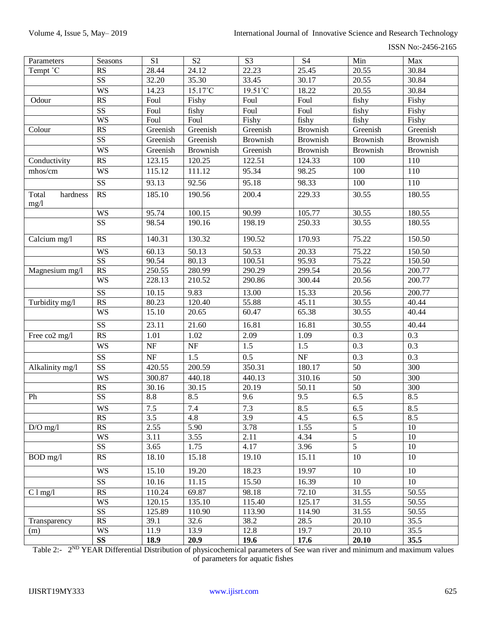ISSN No:-2456-2165

| Parameters                | Seasons                | S1                       | S2                     | S <sub>3</sub>  | <b>S4</b>          | Min              | Max              |
|---------------------------|------------------------|--------------------------|------------------------|-----------------|--------------------|------------------|------------------|
| Tempt °C                  | <b>RS</b>              | 28.44                    | 24.12                  | 22.23           | 25.45              | 20.55            | 30.84            |
|                           | SS                     | 32.20                    | 35.30                  | 33.45           | 30.17              | 20.55            | 30.84            |
|                           | <b>WS</b>              | 14.23                    | 15.17°C                | 19.51°C         | 18.22              | 20.55            | 30.84            |
| Odour                     | RS                     | Foul                     | Fishy                  | Foul            | Foul               | fishy            | Fishy            |
|                           | SS                     | Foul                     | fishy                  | Foul            | Foul               | fishy            | Fishy            |
|                           | <b>WS</b>              | Foul                     | Foul                   | Fishy           | fishy              | fishy            | Fishy            |
| Colour                    | RS                     | Greenish                 | Greenish               | Greenish        | <b>Brownish</b>    | Greenish         | Greenish         |
|                           | $\overline{\text{SS}}$ | Greenish                 | Greenish               | <b>Brownish</b> | <b>Brownish</b>    | <b>Brownish</b>  | <b>Brownish</b>  |
|                           | <b>WS</b>              | Greenish                 | Brownish               | Greenish        | <b>Brownish</b>    | Brownish         | <b>Brownish</b>  |
| Conductivity              | RS                     | 123.15                   | 120.25                 | 122.51          | 124.33             | 100              | 110              |
| mhos/cm                   | <b>WS</b>              | 115.12                   | 111.12                 | 95.34           | 98.25              | 100              | 110              |
|                           | SS                     | 93.13                    | 92.56                  | 95.18           | $\overline{98.33}$ | 100              | 110              |
|                           |                        |                          |                        |                 |                    |                  |                  |
| Total<br>hardness<br>mg/1 | RS                     | 185.10                   | 190.56                 | 200.4           | 229.33             | 30.55            | 180.55           |
|                           | <b>WS</b>              | 95.74                    | 100.15                 | 90.99           | 105.77             | 30.55            | 180.55           |
|                           | $\overline{\text{SS}}$ | 98.54                    | 190.16                 | 198.19          | 250.33             | 30.55            | 180.55           |
| Calcium mg/l              | <b>RS</b>              | 140.31                   | 130.32                 | 190.52          | 170.93             | 75.22            | 150.50           |
|                           | <b>WS</b>              | 60.13                    | 50.13                  | 50.53           | 20.33              | 75.22            | 150.50           |
|                           | $\overline{\text{SS}}$ | 90.54                    | 80.13                  | 100.51          | 95.93              | 75.22            | 150.50           |
| Magnesium mg/l            | $\overline{\text{RS}}$ | 250.55                   | 280.99                 | 290.29          | 299.54             | 20.56            | 200.77           |
|                           | <b>WS</b>              | 228.13                   | 210.52                 | 290.86          | 300.44             | 20.56            | 200.77           |
|                           | SS                     | 10.15                    | 9.83                   | 13.00           | 15.33              | 20.56            | 200.77           |
| Turbidity mg/l            | RS                     | 80.23                    | 120.40                 | 55.88           | 45.11              | 30.55            | 40.44            |
|                           | <b>WS</b>              | 15.10                    | 20.65                  | 60.47           | 65.38              | 30.55            | 40.44            |
|                           | SS                     | 23.11                    | 21.60                  | 16.81           | 16.81              | 30.55            | 40.44            |
| Free co2 mg/l             | RS                     | 1.01                     | 1.02                   | 2.09            | 1.09               | 0.3              | 0.3              |
|                           | <b>WS</b>              | $\ensuremath{\text{NF}}$ | $\overline{\text{NF}}$ | 1.5             | 1.5                | $\overline{0.3}$ | $\overline{0.3}$ |
|                           | SS                     | $\ensuremath{\text{NF}}$ | 1.5                    | 0.5             | NF                 | 0.3              | 0.3              |
| Alkalinity mg/l           | SS                     | 420.55                   | 200.59                 | 350.31          | 180.17             | 50               | 300              |
|                           | <b>WS</b>              | 300.87                   | 440.18                 | 440.13          | 310.16             | $\overline{50}$  | 300              |
|                           | RS                     | 30.16                    | 30.15                  | 20.19           | 50.11              | $\overline{50}$  | 300              |
| Ph                        | SS                     | $8.8\,$                  | 8.5                    | 9.6             | 9.5                | 6.5              | 8.5              |
|                           | <b>WS</b>              | $7.5$                    | 7.4                    | 7.3             | 8.5                | 6.5              | 8.5              |
|                           | <b>RS</b>              | 3.5                      | 4.8                    | 3.9             | 4.5                | 6.5              | 8.5              |
| $D/O$ mg/l                | RS                     | 2.55                     | 5.90                   | 3.78            | 1.55               | $\overline{5}$   | 10               |
|                           | <b>WS</b>              | 3.11                     | 3.55                   | 2.11            | 4.34               | $\overline{5}$   | 10               |
|                           | $\overline{\text{SS}}$ | 3.65                     | 1.75                   | 4.17            | 3.96               | $\overline{5}$   | 10               |
| BOD mg/l                  | RS                     | 18.10                    | 15.18                  | 19.10           | 15.11              | $10\,$           | 10               |
|                           | <b>WS</b>              | 15.10                    | 19.20                  | 18.23           | 19.97              | $10\,$           | 10               |
|                           | SS                     | 10.16                    | 11.15                  | 15.50           | 16.39              | 10               | 10               |
| $C \ln \frac{m}{2}$       | RS                     | 110.24                   | 69.87                  | 98.18           | 72.10              | 31.55            | 50.55            |
|                           | <b>WS</b>              | 120.15                   | 135.10                 | 115.40          | 125.17             | 31.55            | 50.55            |
|                           | SS                     | 125.89                   | 110.90                 | 113.90          | 114.90             | 31.55            | 50.55            |
| Transparency              | RS                     | 39.1                     | 32.6                   | 38.2            | 28.5               | 20.10            | 35.5             |
| (m)                       | <b>WS</b>              | 11.9                     | 13.9                   | 12.8            | 19.7               | 20.10            | 35.5             |
|                           | $\overline{\text{SS}}$ | 18.9                     | 20.9                   | 19.6            | 17.6               | 20.10            | 35.5             |

Table 2:-  $2^{ND}$  YEAR Differential Distribution of physicochemical parameters of See wan river and minimum and maximum values of parameters for aquatic fishes